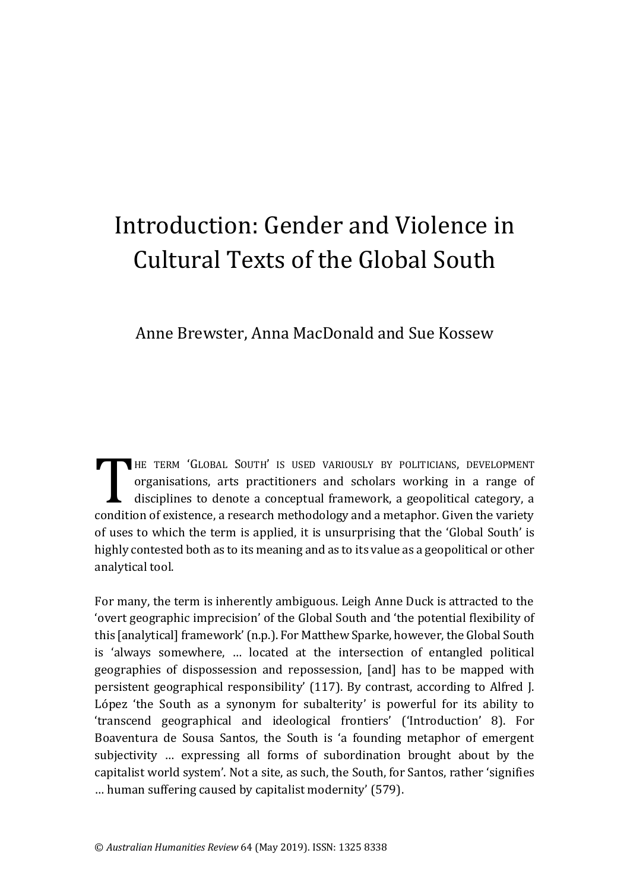# Introduction: Gender and Violence in Cultural Texts of the Global South

Anne Brewster, Anna MacDonald and Sue Kossew

HE TERM 'GLOBAL SOUTH' IS USED VARIOUSLY BY POLITICIANS, DEVELOPMENT organisations, arts practitioners and scholars working in a range of disciplines to denote a conceptual framework, a geopolitical category, a condition of existence, a research methodology and a metaphor. Given the variety of uses to which the term is applied, it is unsurprising that the 'Global South' is highly contested both as to its meaning and as to its value as a geopolitical or other analytical tool.  $\prod$ 

For many, the term is inherently ambiguous. Leigh Anne Duck is attracted to the 'overt geographic imprecision' of the Global South and 'the potential flexibility of this [analytical] framework' (n.p.). For Matthew Sparke, however, the Global South is 'always somewhere, … located at the intersection of entangled political geographies of dispossession and repossession, [and] has to be mapped with persistent geographical responsibility' (117). By contrast, according to Alfred J. López 'the South as a synonym for subalterity' is powerful for its ability to 'transcend geographical and ideological frontiers' ('Introduction' 8). For Boaventura de Sousa Santos, the South is 'a founding metaphor of emergent subjectivity … expressing all forms of subordination brought about by the capitalist world system'. Not a site, as such, the South, for Santos, rather 'signifies … human suffering caused by capitalist modernity' (579).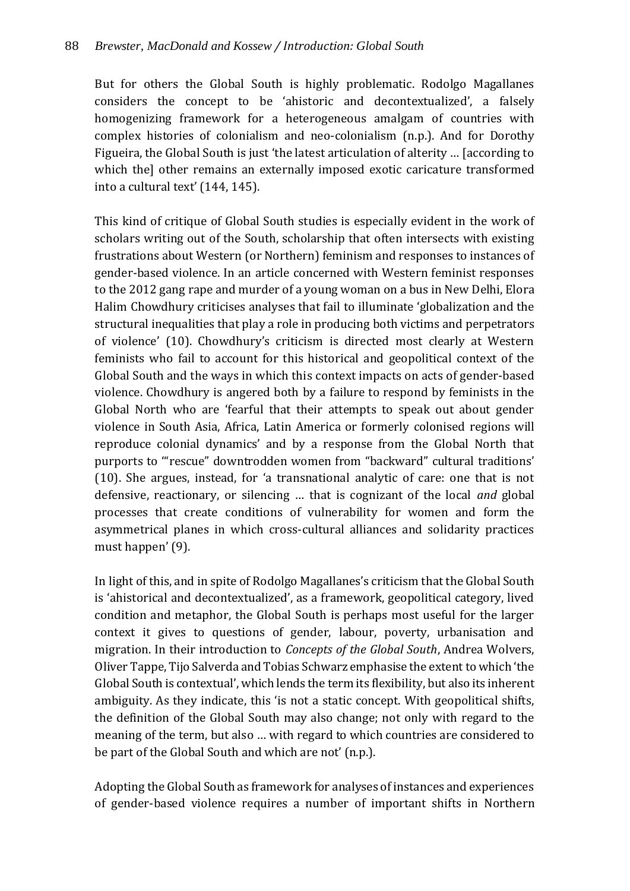But for others the Global South is highly problematic. Rodolgo Magallanes considers the concept to be 'ahistoric and decontextualized', a falsely homogenizing framework for a heterogeneous amalgam of countries with complex histories of colonialism and neo-colonialism (n.p.). And for Dorothy Figueira, the Global South is just 'the latest articulation of alterity … [according to which the] other remains an externally imposed exotic caricature transformed into a cultural text' (144, 145).

This kind of critique of Global South studies is especially evident in the work of scholars writing out of the South, scholarship that often intersects with existing frustrations about Western (or Northern) feminism and responses to instances of gender-based violence. In an article concerned with Western feminist responses to the 2012 gang rape and murder of a young woman on a bus in New Delhi, Elora Halim Chowdhury criticises analyses that fail to illuminate 'globalization and the structural inequalities that play a role in producing both victims and perpetrators of violence' (10). Chowdhury's criticism is directed most clearly at Western feminists who fail to account for this historical and geopolitical context of the Global South and the ways in which this context impacts on acts of gender-based violence. Chowdhury is angered both by a failure to respond by feminists in the Global North who are 'fearful that their attempts to speak out about gender violence in South Asia, Africa, Latin America or formerly colonised regions will reproduce colonial dynamics' and by a response from the Global North that purports to '"rescue" downtrodden women from "backward" cultural traditions' (10). She argues, instead, for 'a transnational analytic of care: one that is not defensive, reactionary, or silencing … that is cognizant of the local *and* global processes that create conditions of vulnerability for women and form the asymmetrical planes in which cross-cultural alliances and solidarity practices must happen' (9).

In light of this, and in spite of Rodolgo Magallanes's criticism that the Global South is 'ahistorical and decontextualized', as a framework, geopolitical category, lived condition and metaphor, the Global South is perhaps most useful for the larger context it gives to questions of gender, labour, poverty, urbanisation and migration. In their introduction to *Concepts of the Global South*, Andrea Wolvers, Oliver Tappe, Tijo Salverda and Tobias Schwarz emphasise the extent to which 'the Global South is contextual', which lends the term its flexibility, but also its inherent ambiguity. As they indicate, this 'is not a static concept. With geopolitical shifts, the definition of the Global South may also change; not only with regard to the meaning of the term, but also … with regard to which countries are considered to be part of the Global South and which are not' (n.p.).

Adopting the Global South as framework for analyses of instances and experiences of gender-based violence requires a number of important shifts in Northern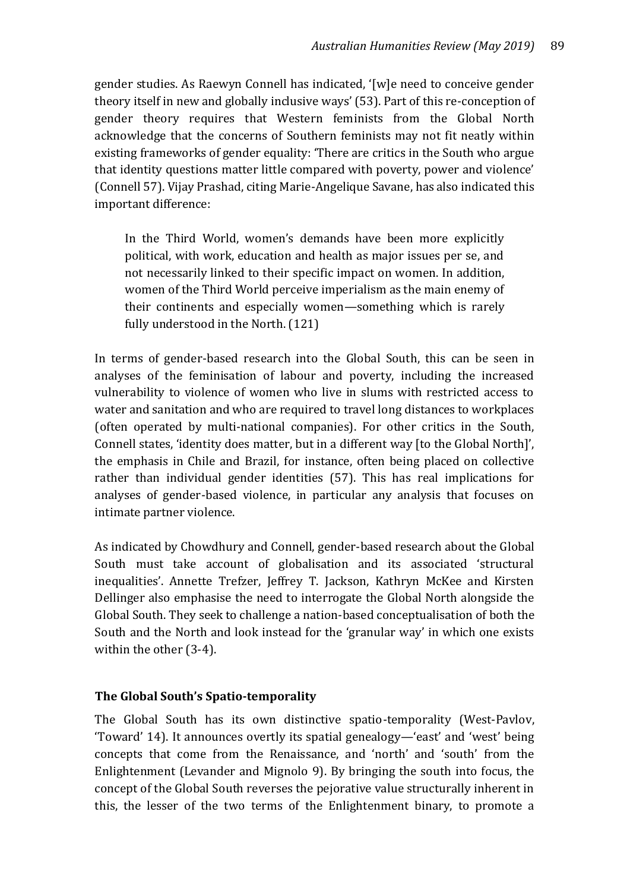gender studies. As Raewyn Connell has indicated, '[w]e need to conceive gender theory itself in new and globally inclusive ways' (53). Part of this re-conception of gender theory requires that Western feminists from the Global North acknowledge that the concerns of Southern feminists may not fit neatly within existing frameworks of gender equality: 'There are critics in the South who argue that identity questions matter little compared with poverty, power and violence' (Connell 57). Vijay Prashad, citing Marie-Angelique Savane, has also indicated this important difference:

In the Third World, women's demands have been more explicitly political, with work, education and health as major issues per se, and not necessarily linked to their specific impact on women. In addition, women of the Third World perceive imperialism as the main enemy of their continents and especially women—something which is rarely fully understood in the North. (121)

In terms of gender-based research into the Global South, this can be seen in analyses of the feminisation of labour and poverty, including the increased vulnerability to violence of women who live in slums with restricted access to water and sanitation and who are required to travel long distances to workplaces (often operated by multi-national companies). For other critics in the South, Connell states, 'identity does matter, but in a different way [to the Global North]', the emphasis in Chile and Brazil, for instance, often being placed on collective rather than individual gender identities (57). This has real implications for analyses of gender-based violence, in particular any analysis that focuses on intimate partner violence.

As indicated by Chowdhury and Connell, gender-based research about the Global South must take account of globalisation and its associated 'structural inequalities'. Annette Trefzer, Jeffrey T. Jackson, Kathryn McKee and Kirsten Dellinger also emphasise the need to interrogate the Global North alongside the Global South. They seek to challenge a nation-based conceptualisation of both the South and the North and look instead for the 'granular way' in which one exists within the other (3-4).

# **The Global South's Spatio-temporality**

The Global South has its own distinctive spatio-temporality (West-Pavlov, 'Toward' 14). It announces overtly its spatial genealogy—'east' and 'west' being concepts that come from the Renaissance, and 'north' and 'south' from the Enlightenment (Levander and Mignolo 9). By bringing the south into focus, the concept of the Global South reverses the pejorative value structurally inherent in this, the lesser of the two terms of the Enlightenment binary, to promote a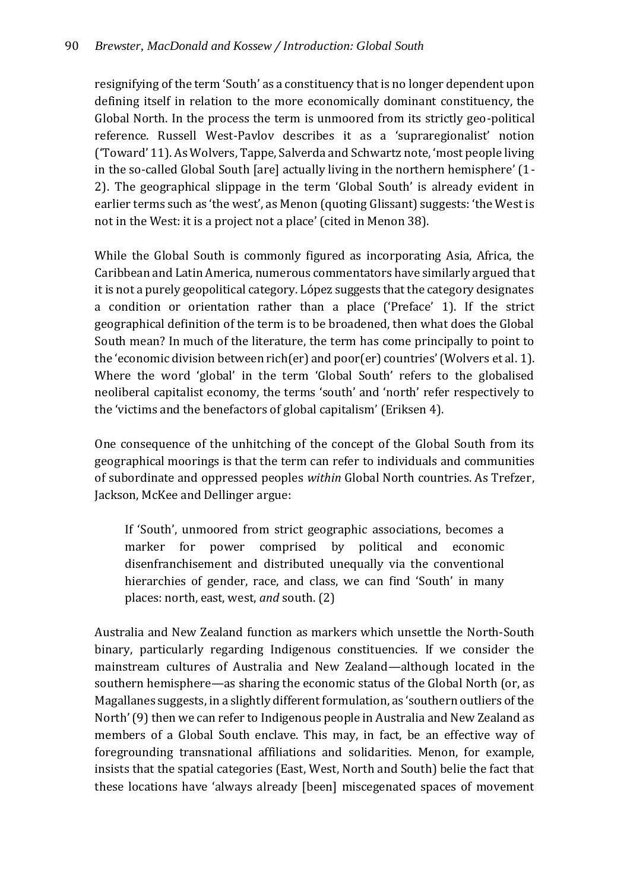## 90 *Brewster, MacDonald and Kossew / Introduction: Global South*

resignifying of the term 'South' as a constituency that is no longer dependent upon defining itself in relation to the more economically dominant constituency, the Global North. In the process the term is unmoored from its strictly geo-political reference. Russell West-Pavlov describes it as a 'supraregionalist' notion ('Toward' 11). As Wolvers, Tappe, Salverda and Schwartz note, 'most people living in the so-called Global South [are] actually living in the northern hemisphere' (1- 2). The geographical slippage in the term 'Global South' is already evident in earlier terms such as 'the west', as Menon (quoting Glissant) suggests: 'the West is not in the West: it is a project not a place' (cited in Menon 38).

While the Global South is commonly figured as incorporating Asia, Africa, the Caribbean and Latin America, numerous commentators have similarly argued that it is not a purely geopolitical category. López suggests that the category designates a condition or orientation rather than a place ('Preface' 1). If the strict geographical definition of the term is to be broadened, then what does the Global South mean? In much of the literature, the term has come principally to point to the 'economic division between rich(er) and poor(er) countries' (Wolvers et al. 1). Where the word 'global' in the term 'Global South' refers to the globalised neoliberal capitalist economy, the terms 'south' and 'north' refer respectively to the 'victims and the benefactors of global capitalism' (Eriksen 4).

One consequence of the unhitching of the concept of the Global South from its geographical moorings is that the term can refer to individuals and communities of subordinate and oppressed peoples *within* Global North countries. As Trefzer, Jackson, McKee and Dellinger argue:

If 'South', unmoored from strict geographic associations, becomes a marker for power comprised by political and economic disenfranchisement and distributed unequally via the conventional hierarchies of gender, race, and class, we can find 'South' in many places: north, east, west, *and* south. (2)

Australia and New Zealand function as markers which unsettle the North-South binary, particularly regarding Indigenous constituencies. If we consider the mainstream cultures of Australia and New Zealand—although located in the southern hemisphere—as sharing the economic status of the Global North (or, as Magallanes suggests, in a slightly different formulation, as 'southern outliers of the North' (9) then we can refer to Indigenous people in Australia and New Zealand as members of a Global South enclave. This may, in fact, be an effective way of foregrounding transnational affiliations and solidarities. Menon, for example, insists that the spatial categories (East, West, North and South) belie the fact that these locations have 'always already [been] miscegenated spaces of movement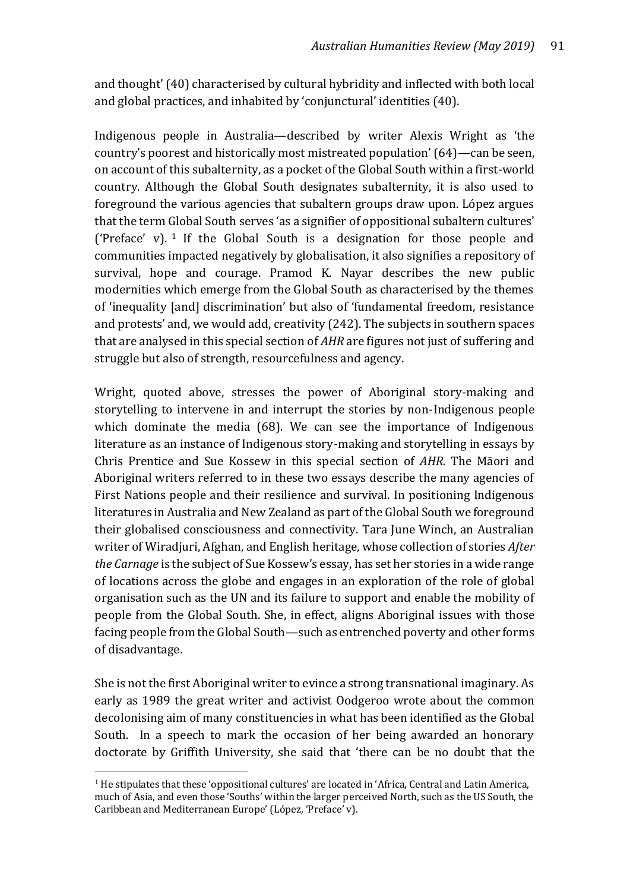and thought' (40) characterised by cultural hybridity and inflected with both local and global practices, and inhabited by 'conjunctural' identities (40).

Indigenous people in Australia—described by writer Alexis Wright as 'the country's poorest and historically most mistreated population' (64)—can be seen, on account of this subalternity, as a pocket of the Global South within a first-world country. Although the Global South designates subalternity, it is also used to foreground the various agencies that subaltern groups draw upon. López argues that the term Global South serves 'as a signifier of oppositional subaltern cultures' ('Preface' v).  $1$  If the Global South is a designation for those people and communities impacted negatively by globalisation, it also signifies a repository of survival, hope and courage. Pramod K. Nayar describes the new public modernities which emerge from the Global South as characterised by the themes of 'inequality [and] discrimination' but also of 'fundamental freedom, resistance and protests' and, we would add, creativity (242). The subjects in southern spaces that are analysed in this special section of *AHR* are figures not just of suffering and struggle but also of strength, resourcefulness and agency.

Wright, quoted above, stresses the power of Aboriginal story-making and storytelling to intervene in and interrupt the stories by non-Indigenous people which dominate the media (68). We can see the importance of Indigenous literature as an instance of Indigenous story-making and storytelling in essays by Chris Prentice and Sue Kossew in this special section of *AHR*. The Māori and Aboriginal writers referred to in these two essays describe the many agencies of First Nations people and their resilience and survival. In positioning Indigenous literatures in Australia and New Zealand as part of the Global South we foreground their globalised consciousness and connectivity. Tara June Winch, an Australian writer of Wiradjuri, Afghan, and English heritage, whose collection of stories *After the Carnage* is the subject of Sue Kossew's essay, has set her stories in a wide range of locations across the globe and engages in an exploration of the role of global organisation such as the UN and its failure to support and enable the mobility of people from the Global South. She, in effect, aligns Aboriginal issues with those facing people from the Global South—such as entrenched poverty and other forms of disadvantage.

She is not the first Aboriginal writer to evince a strong transnational imaginary. As early as 1989 the great writer and activist Oodgeroo wrote about the common decolonising aim of many constituencies in what has been identified as the Global South. In a speech to mark the occasion of her being awarded an honorary doctorate by Griffith University, she said that 'there can be no doubt that the

 $\overline{a}$ 

 $<sup>1</sup>$  He stipulates that these 'oppositional cultures' are located in 'Africa, Central and Latin America,</sup> much of Asia, and even those 'Souths' within the larger perceived North, such as the US South, the Caribbean and Mediterranean Europe' (López, 'Preface' v).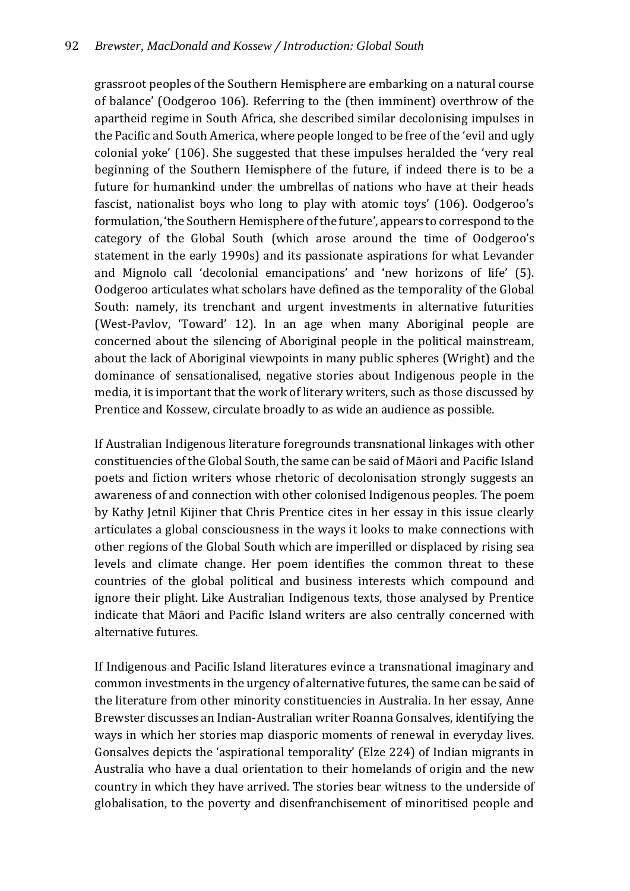grassroot peoples of the Southern Hemisphere are embarking on a natural course of balance' (Oodgeroo 106). Referring to the (then imminent) overthrow of the apartheid regime in South Africa, she described similar decolonising impulses in the Pacific and South America, where people longed to be free of the 'evil and ugly colonial yoke' (106). She suggested that these impulses heralded the 'very real beginning of the Southern Hemisphere of the future, if indeed there is to be a future for humankind under the umbrellas of nations who have at their heads fascist, nationalist boys who long to play with atomic toys' (106). Oodgeroo's formulation, 'the Southern Hemisphere of the future', appears to correspond to the category of the Global South (which arose around the time of Oodgeroo's statement in the early 1990s) and its passionate aspirations for what Levander and Mignolo call 'decolonial emancipations' and 'new horizons of life' (5). Oodgeroo articulates what scholars have defined as the temporality of the Global South: namely, its trenchant and urgent investments in alternative futurities (West-Pavlov, 'Toward' 12). In an age when many Aboriginal people are concerned about the silencing of Aboriginal people in the political mainstream, about the lack of Aboriginal viewpoints in many public spheres (Wright) and the dominance of sensationalised, negative stories about Indigenous people in the media, it is important that the work of literary writers, such as those discussed by Prentice and Kossew, circulate broadly to as wide an audience as possible.

If Australian Indigenous literature foregrounds transnational linkages with other constituencies of the Global South, the same can be said of Māori and Pacific Island poets and fiction writers whose rhetoric of decolonisation strongly suggests an awareness of and connection with other colonised Indigenous peoples. The poem by Kathy Jetnil Kijiner that Chris Prentice cites in her essay in this issue clearly articulates a global consciousness in the ways it looks to make connections with other regions of the Global South which are imperilled or displaced by rising sea levels and climate change. Her poem identifies the common threat to these countries of the global political and business interests which compound and ignore their plight. Like Australian Indigenous texts, those analysed by Prentice indicate that Māori and Pacific Island writers are also centrally concerned with alternative futures.

If Indigenous and Pacific Island literatures evince a transnational imaginary and common investments in the urgency of alternative futures, the same can be said of the literature from other minority constituencies in Australia. In her essay, Anne Brewster discusses an Indian-Australian writer Roanna Gonsalves, identifying the ways in which her stories map diasporic moments of renewal in everyday lives. Gonsalves depicts the 'aspirational temporality' (Elze 224) of Indian migrants in Australia who have a dual orientation to their homelands of origin and the new country in which they have arrived. The stories bear witness to the underside of globalisation, to the poverty and disenfranchisement of minoritised people and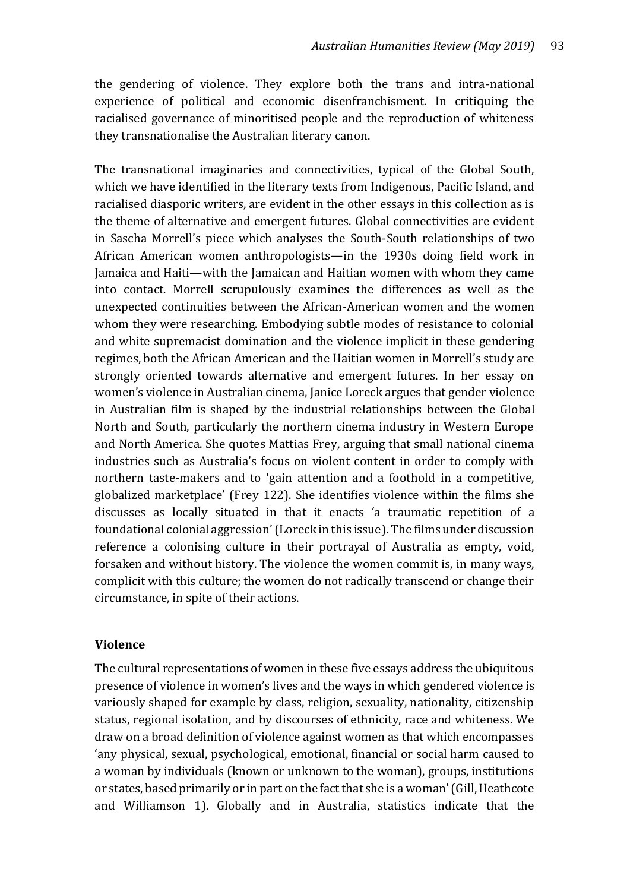the gendering of violence. They explore both the trans and intra-national experience of political and economic disenfranchisment. In critiquing the racialised governance of minoritised people and the reproduction of whiteness they transnationalise the Australian literary canon.

The transnational imaginaries and connectivities, typical of the Global South, which we have identified in the literary texts from Indigenous, Pacific Island, and racialised diasporic writers, are evident in the other essays in this collection as is the theme of alternative and emergent futures. Global connectivities are evident in Sascha Morrell's piece which analyses the South-South relationships of two African American women anthropologists—in the 1930s doing field work in Jamaica and Haiti—with the Jamaican and Haitian women with whom they came into contact. Morrell scrupulously examines the differences as well as the unexpected continuities between the African-American women and the women whom they were researching. Embodying subtle modes of resistance to colonial and white supremacist domination and the violence implicit in these gendering regimes, both the African American and the Haitian women in Morrell's study are strongly oriented towards alternative and emergent futures. In her essay on women's violence in Australian cinema, Janice Loreck argues that gender violence in Australian film is shaped by the industrial relationships between the Global North and South, particularly the northern cinema industry in Western Europe and North America. She quotes Mattias Frey, arguing that small national cinema industries such as Australia's focus on violent content in order to comply with northern taste-makers and to 'gain attention and a foothold in a competitive, globalized marketplace' (Frey 122). She identifies violence within the films she discusses as locally situated in that it enacts 'a traumatic repetition of a foundational colonial aggression' (Loreck in this issue). The films under discussion reference a colonising culture in their portrayal of Australia as empty, void, forsaken and without history. The violence the women commit is, in many ways, complicit with this culture; the women do not radically transcend or change their circumstance, in spite of their actions.

#### **Violence**

The cultural representations of women in these five essays address the ubiquitous presence of violence in women's lives and the ways in which gendered violence is variously shaped for example by class, religion, sexuality, nationality, citizenship status, regional isolation, and by discourses of ethnicity, race and whiteness. We draw on a broad definition of violence against women as that which encompasses 'any physical, sexual, psychological, emotional, financial or social harm caused to a woman by individuals (known or unknown to the woman), groups, institutions or states, based primarily or in part on the fact that she is a woman' (Gill, Heathcote and Williamson 1). Globally and in Australia, statistics indicate that the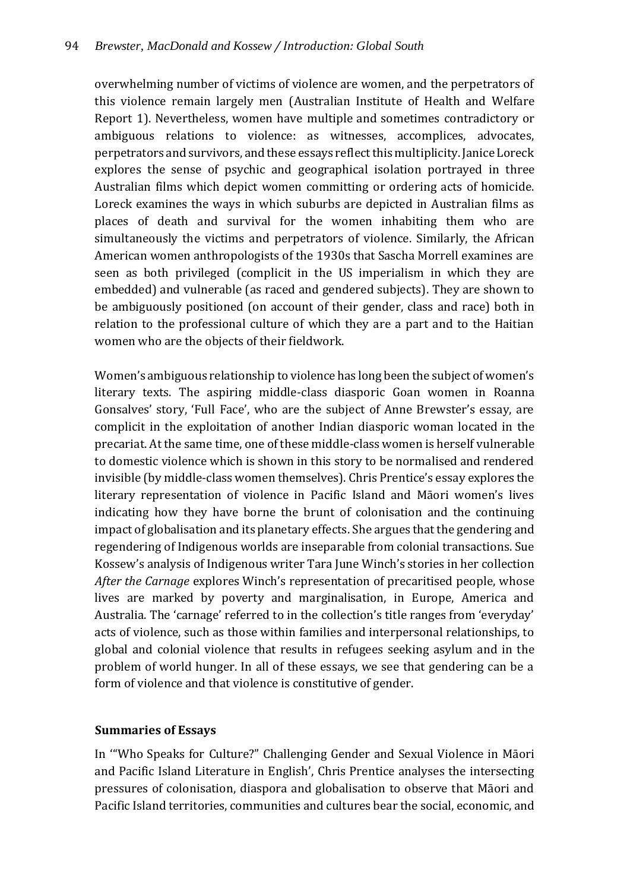overwhelming number of victims of violence are women, and the perpetrators of this violence remain largely men (Australian Institute of Health and Welfare Report 1). Nevertheless, women have multiple and sometimes contradictory or ambiguous relations to violence: as witnesses, accomplices, advocates, perpetrators and survivors, and these essays reflect this multiplicity. Janice Loreck explores the sense of psychic and geographical isolation portrayed in three Australian films which depict women committing or ordering acts of homicide. Loreck examines the ways in which suburbs are depicted in Australian films as places of death and survival for the women inhabiting them who are simultaneously the victims and perpetrators of violence. Similarly, the African American women anthropologists of the 1930s that Sascha Morrell examines are seen as both privileged (complicit in the US imperialism in which they are embedded) and vulnerable (as raced and gendered subjects). They are shown to be ambiguously positioned (on account of their gender, class and race) both in relation to the professional culture of which they are a part and to the Haitian women who are the objects of their fieldwork.

Women's ambiguous relationship to violence has long been the subject of women's literary texts. The aspiring middle-class diasporic Goan women in Roanna Gonsalves' story, 'Full Face', who are the subject of Anne Brewster's essay, are complicit in the exploitation of another Indian diasporic woman located in the precariat. At the same time, one of these middle-class women is herself vulnerable to domestic violence which is shown in this story to be normalised and rendered invisible (by middle-class women themselves). Chris Prentice's essay explores the literary representation of violence in Pacific Island and Māori women's lives indicating how they have borne the brunt of colonisation and the continuing impact of globalisation and its planetary effects. She argues that the gendering and regendering of Indigenous worlds are inseparable from colonial transactions. Sue Kossew's analysis of Indigenous writer Tara June Winch's stories in her collection *After the Carnage* explores Winch's representation of precaritised people, whose lives are marked by poverty and marginalisation, in Europe, America and Australia. The 'carnage' referred to in the collection's title ranges from 'everyday' acts of violence, such as those within families and interpersonal relationships, to global and colonial violence that results in refugees seeking asylum and in the problem of world hunger. In all of these essays, we see that gendering can be a form of violence and that violence is constitutive of gender.

## **Summaries of Essays**

In '"Who Speaks for Culture?" Challenging Gender and Sexual Violence in Māori and Pacific Island Literature in English', Chris Prentice analyses the intersecting pressures of colonisation, diaspora and globalisation to observe that Māori and Pacific Island territories, communities and cultures bear the social, economic, and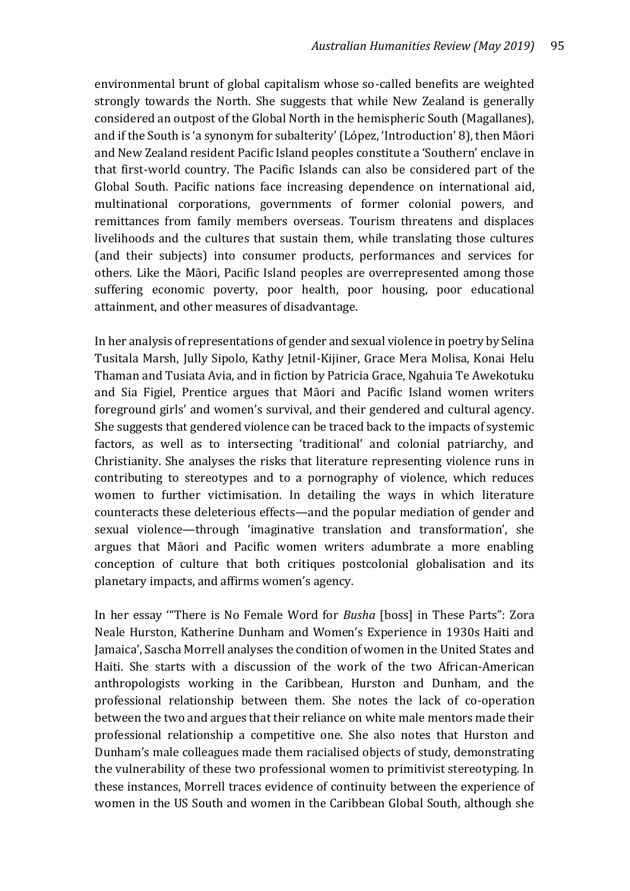environmental brunt of global capitalism whose so-called benefits are weighted strongly towards the North. She suggests that while New Zealand is generally considered an outpost of the Global North in the hemispheric South (Magallanes), and if the South is 'a synonym for subalterity' (López, 'Introduction' 8), then Māori and New Zealand resident Pacific Island peoples constitute a 'Southern' enclave in that first-world country. The Pacific Islands can also be considered part of the Global South. Pacific nations face increasing dependence on international aid, multinational corporations, governments of former colonial powers, and remittances from family members overseas. Tourism threatens and displaces livelihoods and the cultures that sustain them, while translating those cultures (and their subjects) into consumer products, performances and services for others. Like the Māori, Pacific Island peoples are overrepresented among those suffering economic poverty, poor health, poor housing, poor educational attainment, and other measures of disadvantage.

In her analysis of representations of gender and sexual violence in poetry by Selina Tusitala Marsh, Jully Sipolo, Kathy Jetnil-Kijiner, Grace Mera Molisa, Konai Helu Thaman and Tusiata Avia, and in fiction by Patricia Grace, Ngahuia Te Awekotuku and Sia Figiel, Prentice argues that Māori and Pacific Island women writers foreground girls' and women's survival, and their gendered and cultural agency. She suggests that gendered violence can be traced back to the impacts of systemic factors, as well as to intersecting 'traditional' and colonial patriarchy, and Christianity. She analyses the risks that literature representing violence runs in contributing to stereotypes and to a pornography of violence, which reduces women to further victimisation. In detailing the ways in which literature counteracts these deleterious effects—and the popular mediation of gender and sexual violence—through 'imaginative translation and transformation', she argues that Māori and Pacific women writers adumbrate a more enabling conception of culture that both critiques postcolonial globalisation and its planetary impacts, and affirms women's agency.

In her essay '"There is No Female Word for *Busha* [boss] in These Parts": Zora Neale Hurston, Katherine Dunham and Women's Experience in 1930s Haiti and Jamaica', Sascha Morrell analyses the condition of women in the United States and Haiti. She starts with a discussion of the work of the two African-American anthropologists working in the Caribbean, Hurston and Dunham, and the professional relationship between them. She notes the lack of co-operation between the two and argues that their reliance on white male mentors made their professional relationship a competitive one. She also notes that Hurston and Dunham's male colleagues made them racialised objects of study, demonstrating the vulnerability of these two professional women to primitivist stereotyping. In these instances, Morrell traces evidence of continuity between the experience of women in the US South and women in the Caribbean Global South, although she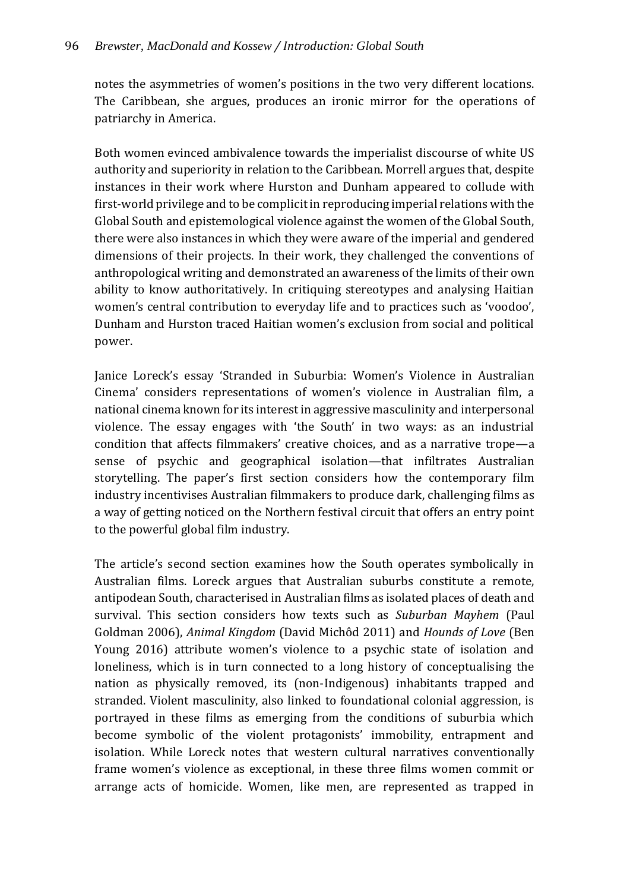notes the asymmetries of women's positions in the two very different locations. The Caribbean, she argues, produces an ironic mirror for the operations of patriarchy in America.

Both women evinced ambivalence towards the imperialist discourse of white US authority and superiority in relation to the Caribbean. Morrell argues that, despite instances in their work where Hurston and Dunham appeared to collude with first-world privilege and to be complicit in reproducing imperial relations with the Global South and epistemological violence against the women of the Global South, there were also instances in which they were aware of the imperial and gendered dimensions of their projects. In their work, they challenged the conventions of anthropological writing and demonstrated an awareness of the limits of their own ability to know authoritatively. In critiquing stereotypes and analysing Haitian women's central contribution to everyday life and to practices such as 'voodoo', Dunham and Hurston traced Haitian women's exclusion from social and political power.

Janice Loreck's essay 'Stranded in Suburbia: Women's Violence in Australian Cinema' considers representations of women's violence in Australian film, a national cinema known for its interest in aggressive masculinity and interpersonal violence. The essay engages with 'the South' in two ways: as an industrial condition that affects filmmakers' creative choices, and as a narrative trope—a sense of psychic and geographical isolation—that infiltrates Australian storytelling. The paper's first section considers how the contemporary film industry incentivises Australian filmmakers to produce dark, challenging films as a way of getting noticed on the Northern festival circuit that offers an entry point to the powerful global film industry.

The article's second section examines how the South operates symbolically in Australian films. Loreck argues that Australian suburbs constitute a remote, antipodean South, characterised in Australian films as isolated places of death and survival. This section considers how texts such as *Suburban Mayhem* (Paul Goldman 2006), *Animal Kingdom* (David Michôd 2011) and *Hounds of Love* (Ben Young 2016) attribute women's violence to a psychic state of isolation and loneliness, which is in turn connected to a long history of conceptualising the nation as physically removed, its (non-Indigenous) inhabitants trapped and stranded. Violent masculinity, also linked to foundational colonial aggression, is portrayed in these films as emerging from the conditions of suburbia which become symbolic of the violent protagonists' immobility, entrapment and isolation. While Loreck notes that western cultural narratives conventionally frame women's violence as exceptional, in these three films women commit or arrange acts of homicide. Women, like men, are represented as trapped in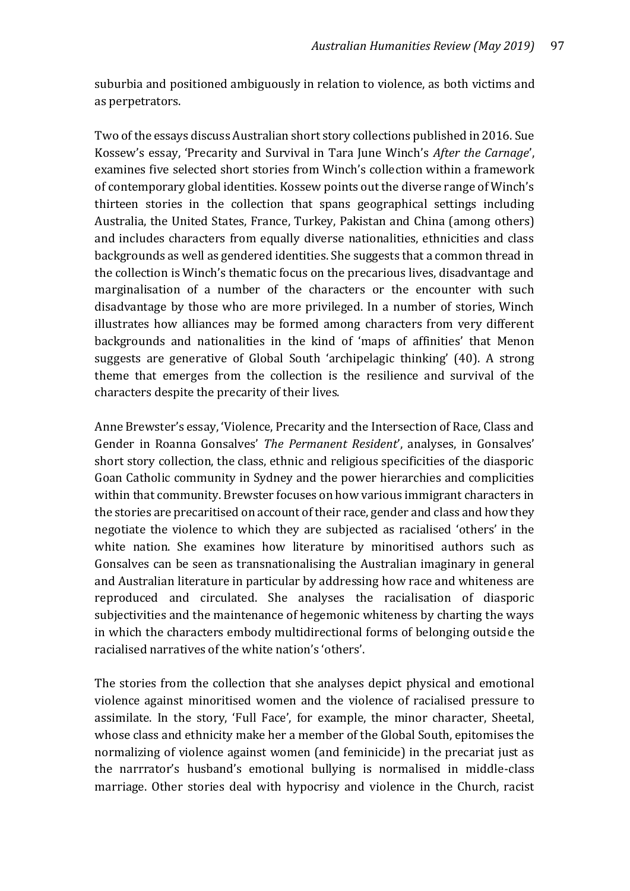suburbia and positioned ambiguously in relation to violence, as both victims and as perpetrators.

Two of the essays discuss Australian short story collections published in 2016. Sue Kossew's essay, 'Precarity and Survival in Tara June Winch's *After the Carnage*', examines five selected short stories from Winch's collection within a framework of contemporary global identities. Kossew points out the diverse range of Winch's thirteen stories in the collection that spans geographical settings including Australia, the United States, France, Turkey, Pakistan and China (among others) and includes characters from equally diverse nationalities, ethnicities and class backgrounds as well as gendered identities. She suggests that a common thread in the collection is Winch's thematic focus on the precarious lives, disadvantage and marginalisation of a number of the characters or the encounter with such disadvantage by those who are more privileged. In a number of stories, Winch illustrates how alliances may be formed among characters from very different backgrounds and nationalities in the kind of 'maps of affinities' that Menon suggests are generative of Global South 'archipelagic thinking' (40). A strong theme that emerges from the collection is the resilience and survival of the characters despite the precarity of their lives.

Anne Brewster's essay, 'Violence, Precarity and the Intersection of Race, Class and Gender in Roanna Gonsalves' *The Permanent Resident*', analyses, in Gonsalves' short story collection, the class, ethnic and religious specificities of the diasporic Goan Catholic community in Sydney and the power hierarchies and complicities within that community. Brewster focuses on how various immigrant characters in the stories are precaritised on account of their race, gender and class and how they negotiate the violence to which they are subjected as racialised 'others' in the white nation. She examines how literature by minoritised authors such as Gonsalves can be seen as transnationalising the Australian imaginary in general and Australian literature in particular by addressing how race and whiteness are reproduced and circulated. She analyses the racialisation of diasporic subjectivities and the maintenance of hegemonic whiteness by charting the ways in which the characters embody multidirectional forms of belonging outside the racialised narratives of the white nation's 'others'.

The stories from the collection that she analyses depict physical and emotional violence against minoritised women and the violence of racialised pressure to assimilate. In the story, 'Full Face', for example, the minor character, Sheetal, whose class and ethnicity make her a member of the Global South, epitomises the normalizing of violence against women (and feminicide) in the precariat just as the narrrator's husband's emotional bullying is normalised in middle-class marriage. Other stories deal with hypocrisy and violence in the Church, racist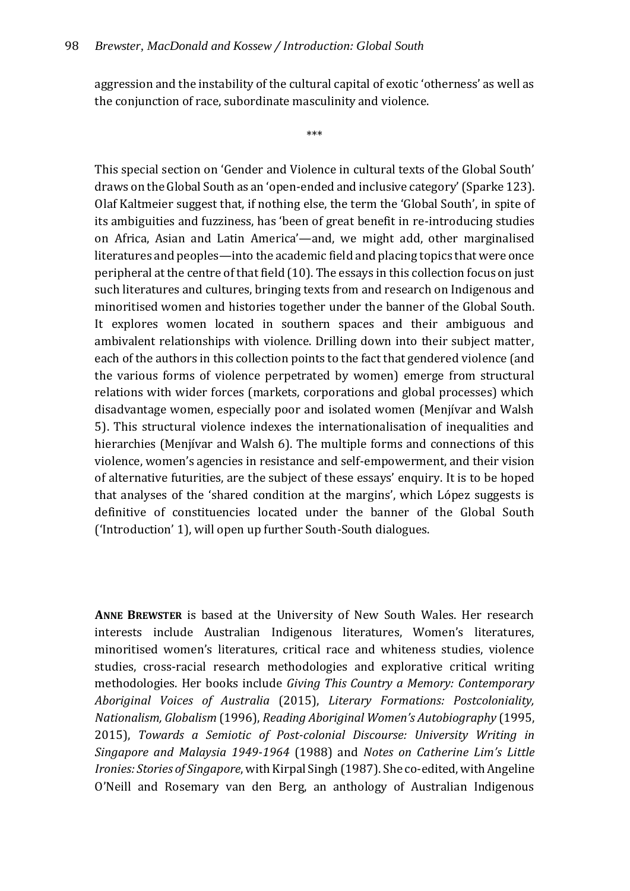aggression and the instability of the cultural capital of exotic 'otherness' as well as the conjunction of race, subordinate masculinity and violence.

\*\*\*

This special section on 'Gender and Violence in cultural texts of the Global South' draws on the Global South as an 'open-ended and inclusive category' (Sparke 123). Olaf Kaltmeier suggest that, if nothing else, the term the 'Global South', in spite of its ambiguities and fuzziness, has 'been of great benefit in re-introducing studies on Africa, Asian and Latin America'—and, we might add, other marginalised literatures and peoples—into the academic field and placing topics that were once peripheral at the centre of that field (10). The essays in this collection focus on just such literatures and cultures, bringing texts from and research on Indigenous and minoritised women and histories together under the banner of the Global South. It explores women located in southern spaces and their ambiguous and ambivalent relationships with violence. Drilling down into their subject matter, each of the authors in this collection points to the fact that gendered violence (and the various forms of violence perpetrated by women) emerge from structural relations with wider forces (markets, corporations and global processes) which disadvantage women, especially poor and isolated women (Menjívar and Walsh 5). This structural violence indexes the internationalisation of inequalities and hierarchies (Menjívar and Walsh 6). The multiple forms and connections of this violence, women's agencies in resistance and self-empowerment, and their vision of alternative futurities, are the subject of these essays' enquiry. It is to be hoped that analyses of the 'shared condition at the margins', which López suggests is definitive of constituencies located under the banner of the Global South ('Introduction' 1), will open up further South-South dialogues.

**ANNE BREWSTER** is based at the University of New South Wales. Her research interests include Australian Indigenous literatures, Women's literatures, minoritised women's literatures, critical race and whiteness studies, violence studies, cross-racial research methodologies and explorative critical writing methodologies. Her books include *Giving This Country a Memory: Contemporary Aboriginal Voices of Australia* (2015), *Literary Formations: Postcoloniality, Nationalism, Globalism* (1996), *Reading Aboriginal Women's Autobiography* (1995, 2015), *Towards a Semiotic of Post-colonial Discourse: University Writing in Singapore and Malaysia 1949-1964* (1988) and *Notes on Catherine Lim's Little Ironies: Stories of Singapore*, with Kirpal Singh (1987).She co-edited, with Angeline O'Neill and Rosemary van den Berg, an anthology of Australian Indigenous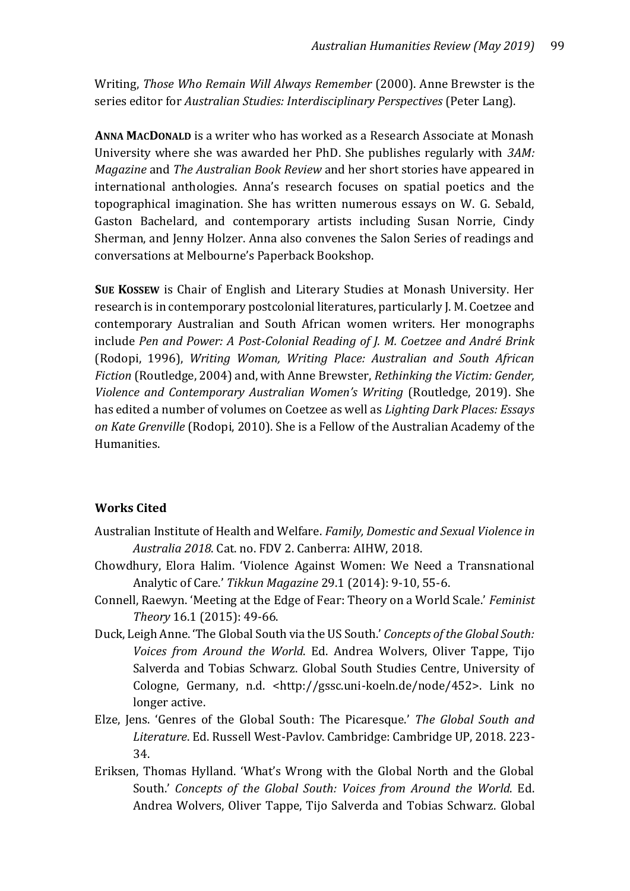Writing, *Those Who Remain Will Always Remember* (2000). Anne Brewster is the series editor for *Australian Studies: Interdisciplinary Perspectives* (Peter Lang).

**ANNA MACDONALD** is a writer who has worked as a Research Associate at Monash University where she was awarded her PhD. She publishes regularly with *3AM: Magazine* and *The Australian Book Review* and her short stories have appeared in international anthologies. Anna's research focuses on spatial poetics and the topographical imagination. She has written numerous essays on W. G. Sebald, Gaston Bachelard, and contemporary artists including Susan Norrie, Cindy Sherman, and Jenny Holzer. Anna also convenes the Salon Series of readings and conversations at Melbourne's Paperback Bookshop.

**SUE KOSSEW** is Chair of English and Literary Studies at Monash University. Her research is in contemporary postcolonial literatures, particularly J. M. Coetzee and contemporary Australian and South African women writers. Her monographs include *Pen and Power: A Post-Colonial Reading of J. M. Coetzee and André Brink*  (Rodopi, 1996), *Writing Woman, Writing Place: Australian and South African Fiction* (Routledge, 2004) and, with Anne Brewster, *Rethinking the Victim: Gender, Violence and Contemporary Australian Women's Writing* (Routledge, 2019). She has edited a number of volumes on Coetzee as well as *Lighting Dark Places: Essays on Kate Grenville* (Rodopi, 2010). She is a Fellow of the Australian Academy of the Humanities.

# **Works Cited**

- Australian Institute of Health and Welfare. *Family, Domestic and Sexual Violence in Australia 2018*. Cat. no. FDV 2. Canberra: AIHW, 2018.
- Chowdhury, Elora Halim. 'Violence Against Women: We Need a Transnational Analytic of Care.' *Tikkun Magazine* 29.1 (2014): 9-10, 55-6.
- Connell, Raewyn. 'Meeting at the Edge of Fear: Theory on a World Scale.' *Feminist Theory* 16.1 (2015): 49-66.
- Duck, Leigh Anne. 'The Global South via the US South.' *Concepts of the Global South: Voices from Around the World*. Ed. Andrea Wolvers, Oliver Tappe, Tijo Salverda and Tobias Schwarz. Global South Studies Centre, University of Cologne, Germany, n.d. <http://gssc.uni-koeln.de/node/452>. Link no longer active.
- Elze, Jens. 'Genres of the Global South: The Picaresque.' *The Global South and Literature*. Ed. Russell West-Pavlov. Cambridge: Cambridge UP, 2018. 223- 34.
- Eriksen, Thomas Hylland. 'What's Wrong with the Global North and the Global South.' *Concepts of the Global South: Voices from Around the World*. Ed. Andrea Wolvers, Oliver Tappe, Tijo Salverda and Tobias Schwarz. Global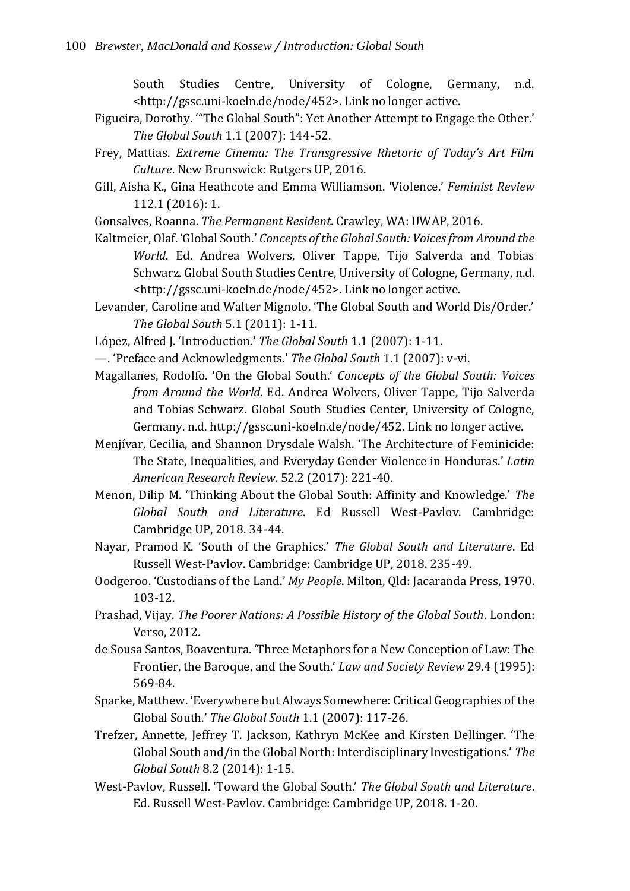South Studies Centre, University of Cologne, Germany, n.d. <http://gssc.uni-koeln.de/node/452>. Link no longer active.

- Figueira, Dorothy. '"The Global South": Yet Another Attempt to Engage the Other.' *The Global South* 1.1 (2007): 144-52.
- Frey, Mattias. *Extreme Cinema: The Transgressive Rhetoric of Today's Art Film Culture*. New Brunswick: Rutgers UP, 2016.
- Gill, Aisha K., Gina Heathcote and Emma Williamson. 'Violence.' *Feminist Review* 112.1 (2016): 1.
- Gonsalves, Roanna. *The Permanent Resident*. Crawley, WA: UWAP, 2016.
- Kaltmeier, Olaf. 'Global South.' *Concepts of the Global South: Voices from Around the World*. Ed. Andrea Wolvers, Oliver Tappe, Tijo Salverda and Tobias Schwarz. Global South Studies Centre, University of Cologne, Germany, n.d. <http://gssc.uni-koeln.de/node/452>. Link no longer active.
- Levander, Caroline and Walter Mignolo. 'The Global South and World Dis/Order.' *The Global South* 5.1 (2011): 1-11.
- López, Alfred J. 'Introduction.' *The Global South* 1.1 (2007): 1-11.
- —. 'Preface and Acknowledgments.' *The Global South* 1.1 (2007): v-vi.
- Magallanes, Rodolfo. 'On the Global South.' *Concepts of the Global South: Voices from Around the World*. Ed. Andrea Wolvers, Oliver Tappe, Tijo Salverda and Tobias Schwarz. Global South Studies Center, University of Cologne, Germany. n.d. http://gssc.uni-koeln.de/node/452. Link no longer active.
- Menjívar, Cecilia, and Shannon Drysdale Walsh. 'The Architecture of Feminicide: The State, Inequalities, and Everyday Gender Violence in Honduras.' *Latin American Research Review.* 52.2 (2017): 221-40.
- Menon, Dilip M. 'Thinking About the Global South: Affinity and Knowledge.' *The Global South and Literature*. Ed Russell West-Pavlov. Cambridge: Cambridge UP, 2018. 34-44.
- Nayar, Pramod K. 'South of the Graphics.' *The Global South and Literature*. Ed Russell West-Pavlov. Cambridge: Cambridge UP, 2018. 235-49.
- Oodgeroo. 'Custodians of the Land.' *My People*. Milton, Qld: Jacaranda Press, 1970. 103-12.
- Prashad, Vijay. *The Poorer Nations: A Possible History of the Global South*. London: Verso, 2012.
- de Sousa Santos, Boaventura. 'Three Metaphors for a New Conception of Law: The Frontier, the Baroque, and the South.' *Law and Society Review* 29.4 (1995): 569-84.
- Sparke, Matthew. 'Everywhere but Always Somewhere: Critical Geographies of the Global South.' *The Global South* 1.1 (2007): 117-26.
- Trefzer, Annette, Jeffrey T. Jackson, Kathryn McKee and Kirsten Dellinger. 'The Global South and/in the Global North: Interdisciplinary Investigations.' *The Global South* 8.2 (2014): 1-15.
- West-Pavlov, Russell. 'Toward the Global South.' *The Global South and Literature*. Ed. Russell West-Pavlov. Cambridge: Cambridge UP, 2018. 1-20.